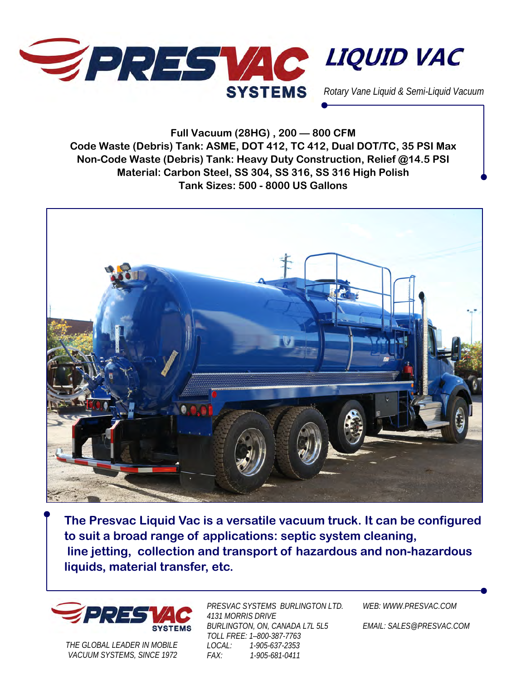

**Full Vacuum (28HG) , 200 — 800 CFM Code Waste (Debris) Tank: ASME, DOT 412, TC 412, Dual DOT/TC, 35 PSI Max Non-Code Waste (Debris) Tank: Heavy Duty Construction, Relief @14.5 PSI Material: Carbon Steel, SS 304, SS 316, SS 316 High Polish Tank Sizes: 500 - 8000 US Gallons** 



**The Presvac Liquid Vac is a versatile vacuum truck. It can be configured to suit a broad range of applications: septic system cleaning, line jetting, collection and transport of hazardous and non-hazardous liquids, material transfer, etc.** 



*THE GLOBAL LEADER IN MOBILE VACUUM SYSTEMS, SINCE 1972* 

*PRESVAC SYSTEMS BURLINGTON LTD. 4131 MORRIS DRIVE BURLINGTON, ON, CANADA L7L 5L5 TOLL FREE: 1–800-387-7763 LOCAL: 1-905-637-2353 FAX: 1-905-681-0411* 

*WEB: WWW.PRESVAC.COM* 

*EMAIL: SALES@PRESVAC.COM*